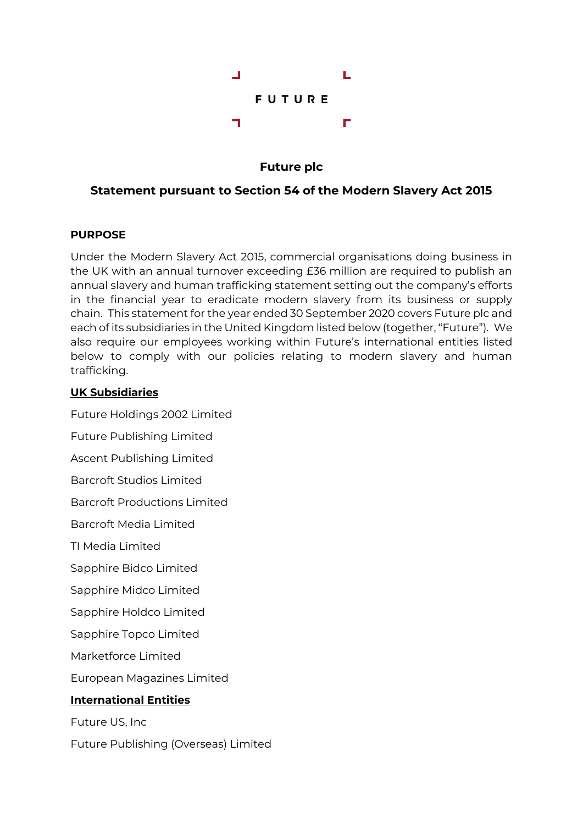

**Future plc**

# **Statement pursuant to Section 54 of the Modern Slavery Act 2015**

## **PURPOSE**

Under the Modern Slavery Act 2015, commercial organisations doing business in the UK with an annual turnover exceeding £36 million are required to publish an annual slavery and human trafficking statement setting out the company's efforts in the financial year to eradicate modern slavery from its business or supply chain. This statement for the year ended 30 September 2020 covers Future plc and each of its subsidiaries in the United Kingdom listed below (together, "Future"). We also require our employees working within Future's international entities listed below to comply with our policies relating to modern slavery and human trafficking.

## **UK Subsidiaries**

Future Holdings 2002 Limited Future Publishing Limited Ascent Publishing Limited Barcroft Studios Limited Barcroft Productions Limited Barcroft Media Limited TI Media Limited Sapphire Bidco Limited Sapphire Midco Limited

Sapphire Holdco Limited

Sapphire Topco Limited

Marketforce Limited

European Magazines Limited

# **International Entities**

Future US, Inc

Future Publishing (Overseas) Limited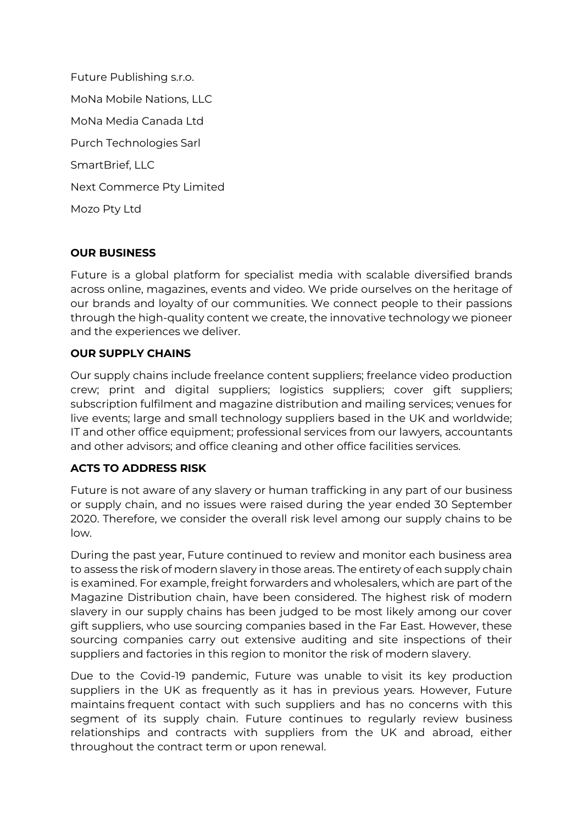Future Publishing s.r.o. MoNa Mobile Nations, LLC MoNa Media Canada Ltd Purch Technologies Sarl SmartBrief, LLC Next Commerce Pty Limited Mozo Pty Ltd

### **OUR BUSINESS**

Future is a global platform for specialist media with scalable diversified brands across online, magazines, events and video. We pride ourselves on the heritage of our brands and loyalty of our communities. We connect people to their passions through the high-quality content we create, the innovative technology we pioneer and the experiences we deliver.

## **OUR SUPPLY CHAINS**

Our supply chains include freelance content suppliers; freelance video production crew; print and digital suppliers; logistics suppliers; cover gift suppliers; subscription fulfilment and magazine distribution and mailing services; venues for live events; large and small technology suppliers based in the UK and worldwide; IT and other office equipment; professional services from our lawyers, accountants and other advisors; and office cleaning and other office facilities services.

### **ACTS TO ADDRESS RISK**

Future is not aware of any slavery or human trafficking in any part of our business or supply chain, and no issues were raised during the year ended 30 September 2020. Therefore, we consider the overall risk level among our supply chains to be low.

During the past year, Future continued to review and monitor each business area to assess the risk of modern slavery in those areas. The entirety of each supply chain is examined. For example, freight forwarders and wholesalers, which are part of the Magazine Distribution chain, have been considered. The highest risk of modern slavery in our supply chains has been judged to be most likely among our cover gift suppliers, who use sourcing companies based in the Far East. However, these sourcing companies carry out extensive auditing and site inspections of their suppliers and factories in this region to monitor the risk of modern slavery.

Due to the Covid-19 pandemic, Future was unable to visit its key production suppliers in the UK as frequently as it has in previous years. However, Future maintains frequent contact with such suppliers and has no concerns with this segment of its supply chain. Future continues to regularly review business relationships and contracts with suppliers from the UK and abroad, either throughout the contract term or upon renewal.